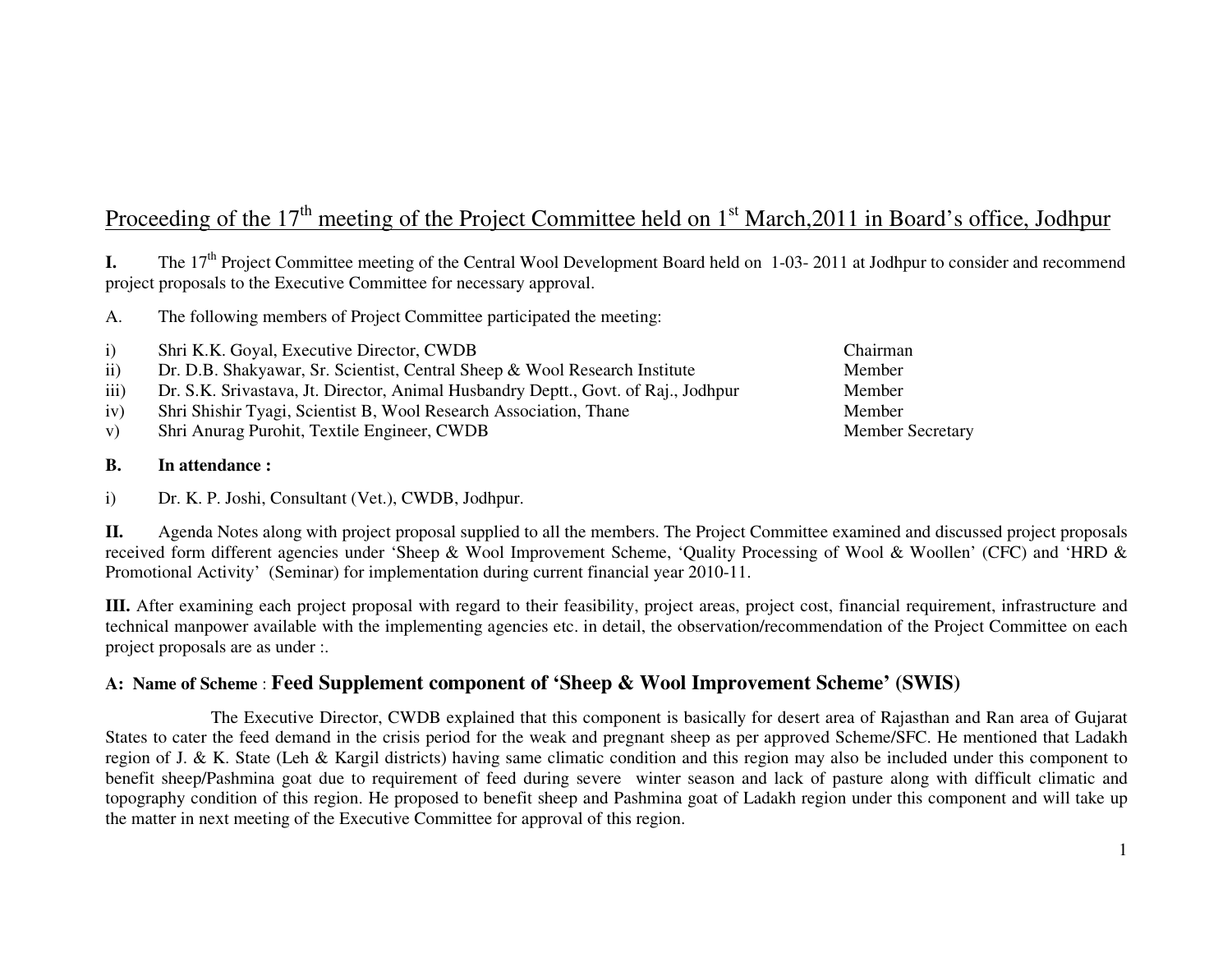# Proceeding of the 17<sup>th</sup> meeting of the Project Committee held on  $1<sup>st</sup> March,2011$  in Board's office, Jodhpur

**I.** The 17<sup>th</sup> Project Committee meeting of the Central Wool Development Board held on 1-03- 2011 at Jodhpur to consider and recommend project proposals to the Executive Committee for necessary approval.

A. The following members of Project Committee participated the meeting:

- i) Shri K.K. Goyal, Executive Director, CWDB Chairman
- ii) Dr. D.B. Shakyawar, Sr. Scientist, Central Sheep & Wool Research Institute Member
- iii) Dr. S.K. Srivastava, Jt. Director, Animal Husbandry Deptt., Govt. of Raj., Jodhpur Member
- iv) Shri Shishir Tyagi, Scientist B, Wool Research Association, Thane Member
- v) Shri Anurag Purohit, Textile Engineer, CWDB Member Secretary

#### **B. In attendance :**

i) Dr. K. P. Joshi, Consultant (Vet.), CWDB, Jodhpur.

**II.** Agenda Notes along with project proposal supplied to all the members. The Project Committee examined and discussed project proposals received form different agencies under 'Sheep & Wool Improvement Scheme, 'Quality Processing of Wool & Woollen' (CFC) and 'HRD & Promotional Activity' (Seminar) for implementation during current financial year 2010-11.

**III.** After examining each project proposal with regard to their feasibility, project areas, project cost, financial requirement, infrastructure and technical manpower available with the implementing agencies etc. in detail, the observation/recommendation of the Project Committee on each project proposals are as under :.

#### **A: Name of Scheme** : **Feed Supplement component of 'Sheep & Wool Improvement Scheme' (SWIS)**

 The Executive Director, CWDB explained that this component is basically for desert area of Rajasthan and Ran area of Gujarat States to cater the feed demand in the crisis period for the weak and pregnant sheep as per approved Scheme/SFC. He mentioned that Ladakh region of J. & K. State (Leh & Kargil districts) having same climatic condition and this region may also be included under this component to benefit sheep/Pashmina goat due to requirement of feed during severe winter season and lack of pasture along with difficult climatic and topography condition of this region. He proposed to benefit sheep and Pashmina goat of Ladakh region under this component and will take up the matter in next meeting of the Executive Committee for approval of this region.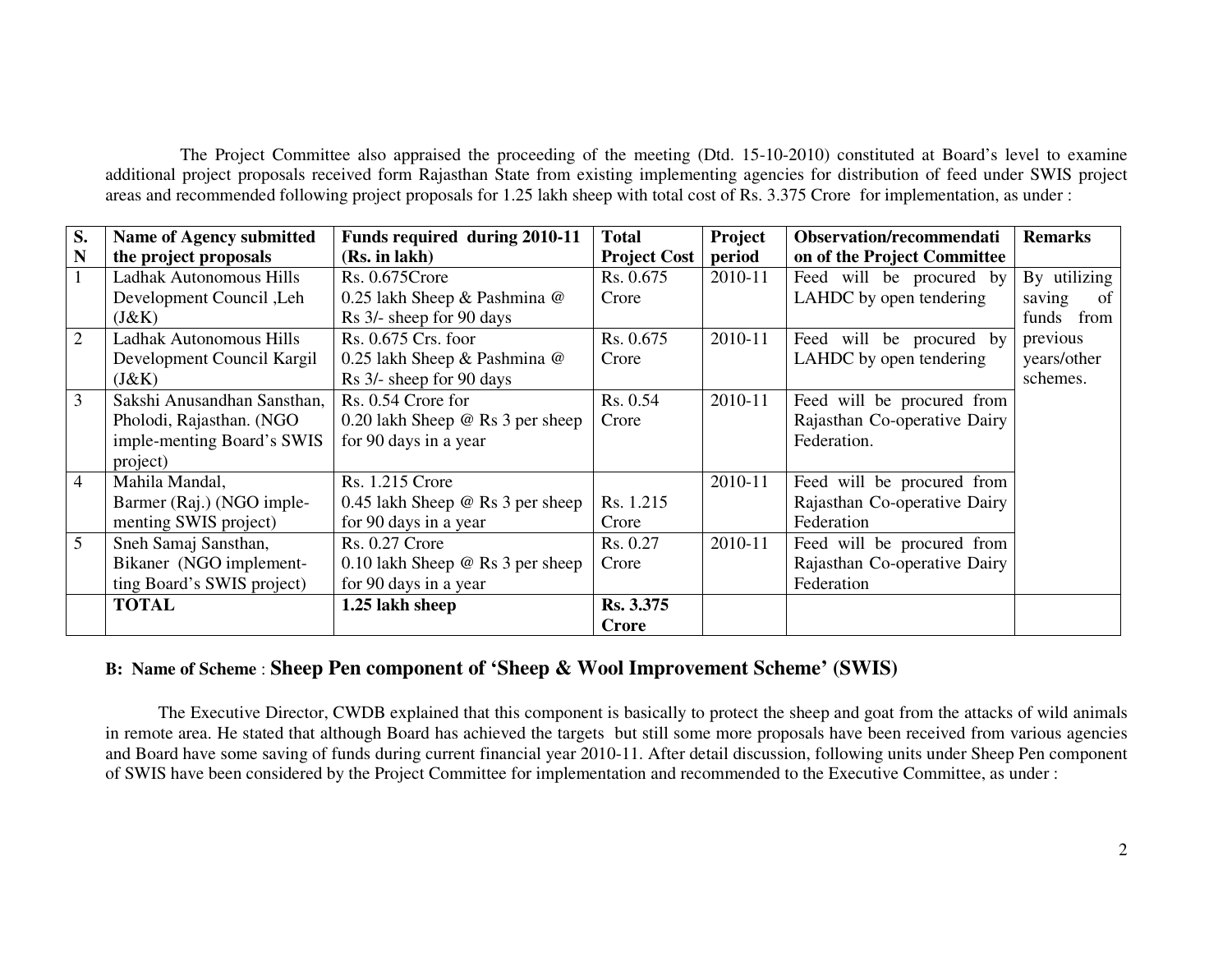The Project Committee also appraised the proceeding of the meeting (Dtd. 15-10-2010) constituted at Board's level to examine additional project proposals received form Rajasthan State from existing implementing agencies for distribution of feed under SWIS project areas and recommended following project proposals for 1.25 lakh sheep with total cost of Rs. 3.375 Crore for implementation, as under :

| S.             | Name of Agency submitted    | Funds required during 2010-11           | <b>Total</b>        | Project | Observation/recommendati     | <b>Remarks</b> |
|----------------|-----------------------------|-----------------------------------------|---------------------|---------|------------------------------|----------------|
| N              | the project proposals       | (Rs. in lakh)                           | <b>Project Cost</b> | period  | on of the Project Committee  |                |
|                | Ladhak Autonomous Hills     | Rs. 0.675 Crore                         | Rs. 0.675           | 2010-11 | Feed will be procured by     | By utilizing   |
|                | Development Council, Leh    | 0.25 lakh Sheep & Pashmina @            | Crore               |         | LAHDC by open tendering      | saving<br>of   |
|                | (J&K)                       | Rs 3/- sheep for 90 days                |                     |         |                              | funds from     |
| 2              | Ladhak Autonomous Hills     | Rs. 0.675 Crs. foor                     | Rs. 0.675           | 2010-11 | Feed will be procured by     | previous       |
|                | Development Council Kargil  | 0.25 lakh Sheep & Pashmina @            | Crore               |         | LAHDC by open tendering      | years/other    |
|                | (J&K)                       | Rs 3/- sheep for 90 days                |                     |         |                              | schemes.       |
| 3              | Sakshi Anusandhan Sansthan, | Rs. 0.54 Crore for                      | Rs. 0.54            | 2010-11 | Feed will be procured from   |                |
|                | Pholodi, Rajasthan. (NGO    | 0.20 lakh Sheep $\omega$ Rs 3 per sheep | Crore               |         | Rajasthan Co-operative Dairy |                |
|                | imple-menting Board's SWIS  | for 90 days in a year                   |                     |         | Federation.                  |                |
|                | project)                    |                                         |                     |         |                              |                |
| $\overline{4}$ | Mahila Mandal,              | <b>Rs. 1.215 Crore</b>                  |                     | 2010-11 | Feed will be procured from   |                |
|                | Barmer (Raj.) (NGO imple-   | 0.45 lakh Sheep $\omega$ Rs 3 per sheep | Rs. 1.215           |         | Rajasthan Co-operative Dairy |                |
|                | menting SWIS project)       | for 90 days in a year                   | Crore               |         | Federation                   |                |
| 5              | Sneh Samaj Sansthan,        | <b>Rs. 0.27 Crore</b>                   | Rs. 0.27            | 2010-11 | Feed will be procured from   |                |
|                | Bikaner (NGO implement-     | 0.10 lakh Sheep $@$ Rs 3 per sheep      | Crore               |         | Rajasthan Co-operative Dairy |                |
|                | ting Board's SWIS project)  | for 90 days in a year                   |                     |         | Federation                   |                |
|                | <b>TOTAL</b>                | 1.25 lakh sheep                         | Rs. 3.375           |         |                              |                |
|                |                             |                                         | <b>Crore</b>        |         |                              |                |

#### **B: Name of Scheme** : **Sheep Pen component of 'Sheep & Wool Improvement Scheme' (SWIS)**

 The Executive Director, CWDB explained that this component is basically to protect the sheep and goat from the attacks of wild animals in remote area. He stated that although Board has achieved the targets but still some more proposals have been received from various agencies and Board have some saving of funds during current financial year 2010-11. After detail discussion, following units under Sheep Pen component of SWIS have been considered by the Project Committee for implementation and recommended to the Executive Committee, as under :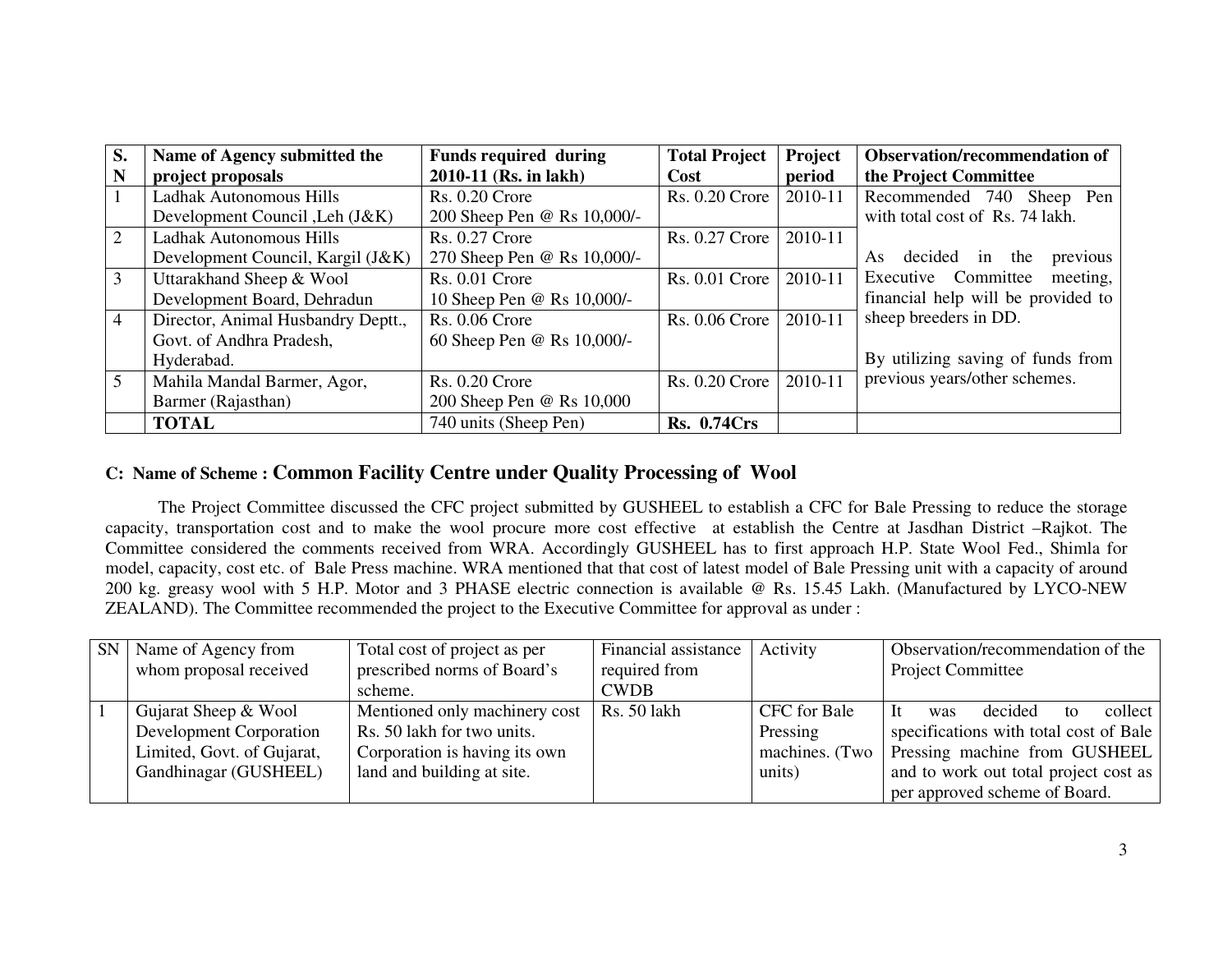| S.             | Name of Agency submitted the       | <b>Funds required during</b> | <b>Total Project</b>  | Project | <b>Observation/recommendation of</b> |
|----------------|------------------------------------|------------------------------|-----------------------|---------|--------------------------------------|
| N              | project proposals                  | 2010-11 (Rs. in lakh)        | Cost                  | period  | the Project Committee                |
|                | Ladhak Autonomous Hills            | <b>Rs. 0.20 Crore</b>        | <b>Rs. 0.20 Crore</b> | 2010-11 | Recommended 740 Sheep Pen            |
|                | Development Council , Leh (J&K)    | 200 Sheep Pen @ Rs 10,000/-  |                       |         | with total cost of Rs. 74 lakh.      |
| 2              | Ladhak Autonomous Hills            | <b>Rs. 0.27 Crore</b>        | <b>Rs. 0.27 Crore</b> | 2010-11 |                                      |
|                | Development Council, Kargil (J&K)  | 270 Sheep Pen @ Rs 10,000/-  |                       |         | As decided in the<br>previous        |
| 3              | Uttarakhand Sheep & Wool           | <b>Rs. 0.01 Crore</b>        | $Rs. 0.01$ Crore      | 2010-11 | Executive Committee<br>meeting,      |
|                | Development Board, Dehradun        | 10 Sheep Pen @ Rs 10,000/-   |                       |         | financial help will be provided to   |
| $\overline{4}$ | Director, Animal Husbandry Deptt., | <b>Rs. 0.06 Crore</b>        | <b>Rs. 0.06 Crore</b> | 2010-11 | sheep breeders in DD.                |
|                | Govt. of Andhra Pradesh,           | 60 Sheep Pen @ Rs 10,000/-   |                       |         |                                      |
|                | Hyderabad.                         |                              |                       |         | By utilizing saving of funds from    |
| 5              | Mahila Mandal Barmer, Agor,        | $Rs. 0.20$ Crore             | <b>Rs. 0.20 Crore</b> | 2010-11 | previous years/other schemes.        |
|                | Barmer (Rajasthan)                 | 200 Sheep Pen @ Rs 10,000    |                       |         |                                      |
|                | <b>TOTAL</b>                       | 740 units (Sheep Pen)        | <b>Rs. 0.74Crs</b>    |         |                                      |

## **C: Name of Scheme : Common Facility Centre under Quality Processing of Wool**

 The Project Committee discussed the CFC project submitted by GUSHEEL to establish a CFC for Bale Pressing to reduce the storage capacity, transportation cost and to make the wool procure more cost effective at establish the Centre at Jasdhan District –Rajkot. The Committee considered the comments received from WRA. Accordingly GUSHEEL has to first approach H.P. State Wool Fed., Shimla for model, capacity, cost etc. of Bale Press machine. WRA mentioned that that cost of latest model of Bale Pressing unit with a capacity of around 200 kg. greasy wool with 5 H.P. Motor and 3 PHASE electric connection is available @ Rs. 15.45 Lakh. (Manufactured by LYCO-NEW ZEALAND). The Committee recommended the project to the Executive Committee for approval as under :

| <b>SN</b> | Name of Agency from        | Total cost of project as per  | Financial assistance | Activity     | Observation/recommendation of the              |
|-----------|----------------------------|-------------------------------|----------------------|--------------|------------------------------------------------|
|           | whom proposal received     | prescribed norms of Board's   | required from        |              | <b>Project Committee</b>                       |
|           |                            | scheme.                       | <b>CWDB</b>          |              |                                                |
|           | Gujarat Sheep & Wool       | Mentioned only machinery cost | <b>Rs.</b> 50 lakh   | CFC for Bale | decided<br>collect<br>- It<br>was<br>tΩ        |
|           | Development Corporation    | Rs. 50 lakh for two units.    |                      | Pressing     | specifications with total cost of Bale         |
|           | Limited, Govt. of Gujarat, | Corporation is having its own |                      |              | machines. (Two   Pressing machine from GUSHEEL |
|           | Gandhinagar (GUSHEEL)      | land and building at site.    |                      | units)       | and to work out total project cost as          |
|           |                            |                               |                      |              | per approved scheme of Board.                  |